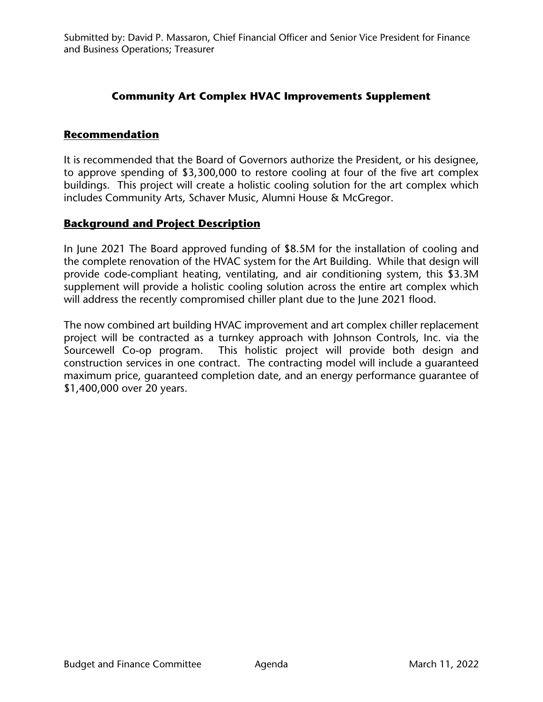## **Community Art Complex HVAC Improvements Supplement**

## **Recommendation**

It is recommended that the Board of Governors authorize the President, or his designee, to approve spending of \$3,300,000 to restore cooling at four of the five art complex buildings. This project will create a holistic cooling solution for the art complex which includes Community Arts, Schaver Music, Alumni House & McGregor.

## **Background and Project Description**

In June 2021 The Board approved funding of \$8.5M for the installation of cooling and the complete renovation of the HVAC system for the Art Building. While that design will provide code-compliant heating, ventilating, and air conditioning system, this \$3.3M supplement will provide a holistic cooling solution across the entire art complex which will address the recently compromised chiller plant due to the June 2021 flood.

The now combined art building HVAC improvement and art complex chiller replacement project will be contracted as a turnkey approach with Johnson Controls, Inc. via the Sourcewell Co-op program. This holistic project will provide both design and construction services in one contract. The contracting model will include a guaranteed maximum price, guaranteed completion date, and an energy performance guarantee of \$1,400,000 over 20 years.